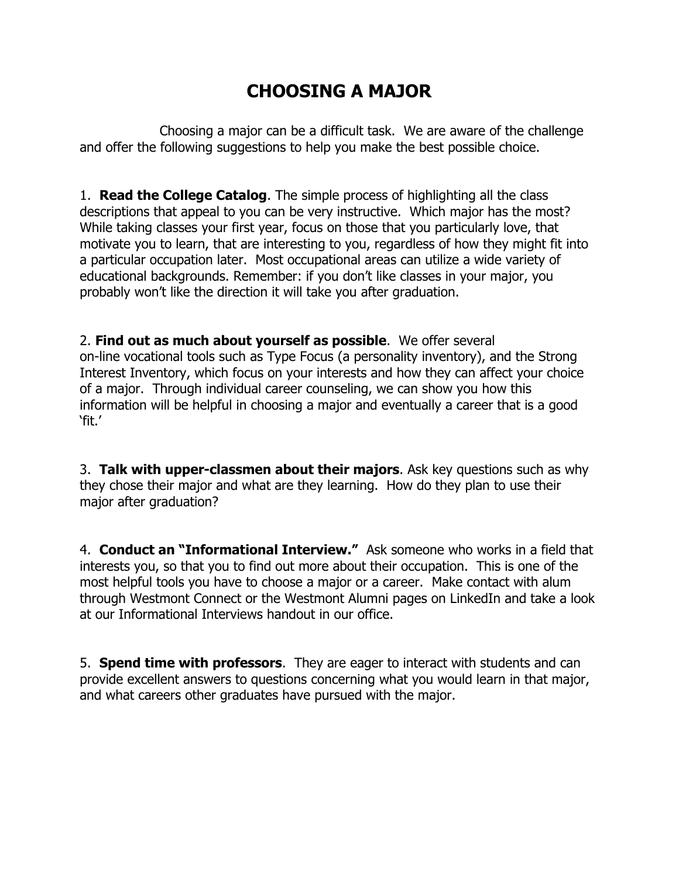## **CHOOSING A MAJOR**

Choosing a major can be a difficult task. We are aware of the challenge and offer the following suggestions to help you make the best possible choice.

1. **Read the College Catalog**. The simple process of highlighting all the class descriptions that appeal to you can be very instructive. Which major has the most? While taking classes your first year, focus on those that you particularly love, that motivate you to learn, that are interesting to you, regardless of how they might fit into a particular occupation later. Most occupational areas can utilize a wide variety of educational backgrounds. Remember: if you don't like classes in your major, you probably won't like the direction it will take you after graduation.

2. **Find out as much about yourself as possible**. We offer several on-line vocational tools such as Type Focus (a personality inventory), and the Strong Interest Inventory, which focus on your interests and how they can affect your choice of a major. Through individual career counseling, we can show you how this information will be helpful in choosing a major and eventually a career that is a good 'fit.'

3. **Talk with upper-classmen about their majors**. Ask key questions such as why they chose their major and what are they learning. How do they plan to use their major after graduation?

4. **Conduct an "Informational Interview."** Ask someone who works in a field that interests you, so that you to find out more about their occupation. This is one of the most helpful tools you have to choose a major or a career. Make contact with alum through Westmont Connect or the Westmont Alumni pages on LinkedIn and take a look at our Informational Interviews handout in our office.

5. **Spend time with professors**. They are eager to interact with students and can provide excellent answers to questions concerning what you would learn in that major, and what careers other graduates have pursued with the major.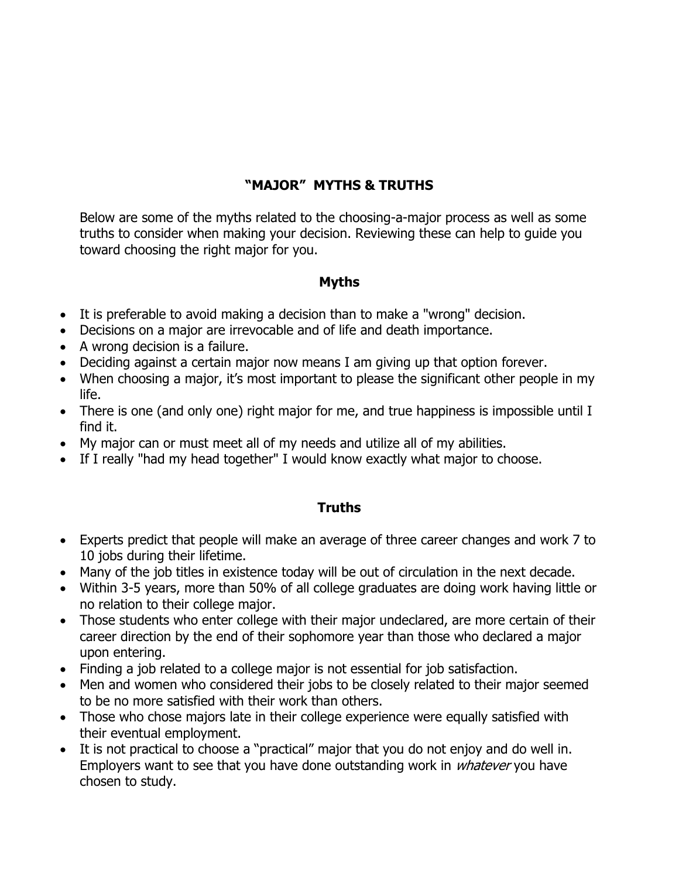## **"MAJOR" MYTHS & TRUTHS**

Below are some of the myths related to the choosing-a-major process as well as some truths to consider when making your decision. Reviewing these can help to guide you toward choosing the right major for you.

## **Myths**

- It is preferable to avoid making a decision than to make a "wrong" decision.
- Decisions on a major are irrevocable and of life and death importance.
- A wrong decision is a failure.
- Deciding against a certain major now means I am giving up that option forever.
- When choosing a major, it's most important to please the significant other people in my life.
- There is one (and only one) right major for me, and true happiness is impossible until I find it.
- My major can or must meet all of my needs and utilize all of my abilities.
- If I really "had my head together" I would know exactly what major to choose.

## **Truths**

- Experts predict that people will make an average of three career changes and work 7 to 10 jobs during their lifetime.
- Many of the job titles in existence today will be out of circulation in the next decade.
- Within 3-5 years, more than 50% of all college graduates are doing work having little or no relation to their college major.
- Those students who enter college with their major undeclared, are more certain of their career direction by the end of their sophomore year than those who declared a major upon entering.
- Finding a job related to a college major is not essential for job satisfaction.
- Men and women who considered their jobs to be closely related to their major seemed to be no more satisfied with their work than others.
- Those who chose majors late in their college experience were equally satisfied with their eventual employment.
- It is not practical to choose a "practical" major that you do not enjoy and do well in. Employers want to see that you have done outstanding work in *whatever* you have chosen to study.